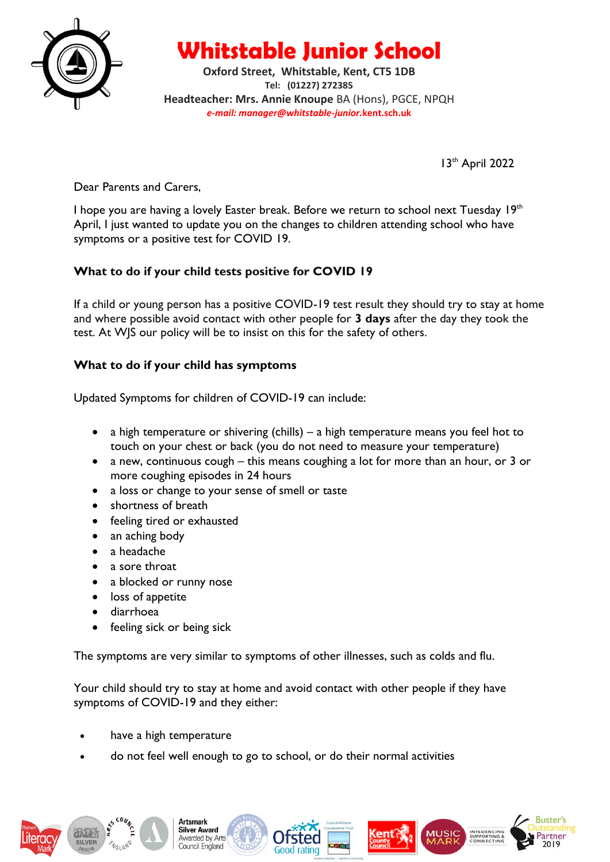

**Whitstable Junior School**

**Oxford Street, Whitstable, Kent, CT5 1DB Tel: (01227) 272385 Headteacher: Mrs. Annie Knoupe** BA (Hons), PGCE, NPQH *e-mail: manager@whitstable-junior.***kent.sch.uk**

13<sup>th</sup> April 2022

Dear Parents and Carers,

I hope you are having a lovely Easter break. Before we return to school next Tuesday 19<sup>th</sup> April, I just wanted to update you on the changes to children attending school who have symptoms or a positive test for COVID 19.

## **What to do if your child tests positive for COVID 19**

If a child or young person has a positive COVID-19 test result they should try to stay at home and where possible avoid contact with other people for **3 days** after the day they took the test. At WJS our policy will be to insist on this for the safety of others.

## **What to do if your child has symptoms**

Updated Symptoms for children of COVID-19 can include:

- a high temperature or shivering (chills) a high temperature means you feel hot to touch on your chest or back (you do not need to measure your temperature)
- a new, continuous cough this means coughing a lot for more than an hour, or 3 or more coughing episodes in 24 hours
- a loss or change to your sense of smell or taste
- shortness of breath
- feeling tired or exhausted
- an aching body
- a headache
- a sore throat
- a blocked or runny nose
- loss of appetite
- diarrhoea
- feeling sick or being sick

The symptoms are very similar to symptoms of other illnesses, such as colds and flu.

Your child should try to stay at home and avoid contact with other people if they have symptoms of COVID-19 and they either:

- have a high temperature
- do not feel well enough to go to school, or do their normal activities